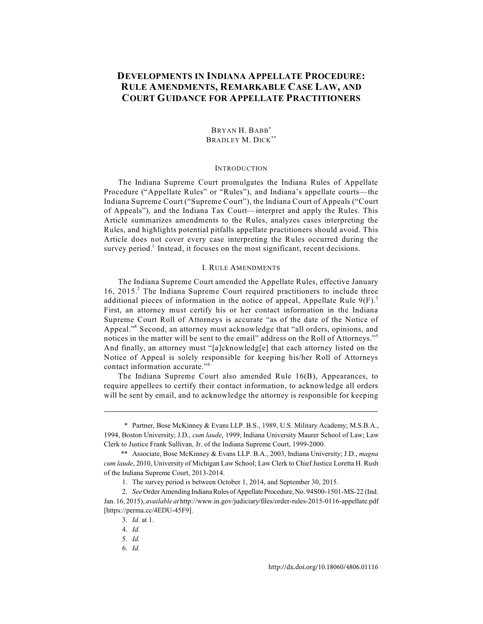# **DEVELOPMENTS IN INDIANA APPELLATE PROCEDURE: RULE AMENDMENTS, REMARKABLE CASE LAW, AND COURT GUIDANCE FOR APPELLATE PRACTITIONERS**

# BRYAN H. BABB\* BRADLEY M. DICK\*\*

#### INTRODUCTION

The Indiana Supreme Court promulgates the Indiana Rules of Appellate Procedure ("Appellate Rules" or "Rules"), and Indiana's appellate courts—the Indiana Supreme Court ("Supreme Court"), the Indiana Court of Appeals ("Court of Appeals"), and the Indiana Tax Court—interpret and apply the Rules. This Article summarizes amendments to the Rules, analyzes cases interpreting the Rules, and highlights potential pitfalls appellate practitioners should avoid. This Article does not cover every case interpreting the Rules occurred during the survey period.<sup>1</sup> Instead, it focuses on the most significant, recent decisions.

### I. RULE AMENDMENTS

The Indiana Supreme Court amended the Appellate Rules, effective January 16, 2015.<sup>2</sup> The Indiana Supreme Court required practitioners to include three additional pieces of information in the notice of appeal, Appellate Rule  $9(F)^3$ First, an attorney must certify his or her contact information in the Indiana Supreme Court Roll of Attorneys is accurate "as of the date of the Notice of Appeal."<sup>4</sup> Second, an attorney must acknowledge that "all orders, opinions, and notices in the matter will be sent to the email" address on the Roll of Attorneys."<sup>5</sup> And finally, an attorney must "[a]cknowledg[e] that each attorney listed on the Notice of Appeal is solely responsible for keeping his/her Roll of Attorneys contact information accurate."<sup>6</sup>

The Indiana Supreme Court also amended Rule 16(B), Appearances, to require appellees to certify their contact information, to acknowledge all orders will be sent by email, and to acknowledge the attorney is responsible for keeping

<sup>\*</sup> Partner, Bose McKinney & Evans LLP. B.S., 1989, U.S. Military Academy; M.S.B.A., 1994, Boston University; J.D., *cum laude*, 1999, Indiana University Maurer School of Law; Law Clerk to Justice Frank Sullivan, Jr. of the Indiana Supreme Court, 1999-2000.

<sup>\*\*</sup> Associate, Bose McKinney & Evans LLP. B.A., 2003, Indiana University; J.D., *magna cum laude*, 2010, University of Michigan Law School; Law Clerk to Chief Justice Loretta H. Rush of the Indiana Supreme Court, 2013-2014.

<sup>1.</sup> The survey period is between October 1, 2014, and September 30, 2015.

<sup>2.</sup> *See* Order Amending Indiana Rules of Appellate Procedure, No. 94S00-1501-MS-22 (Ind. Jan. 16, 2015), *available at* http://www.in.gov/judiciary/files/order-rules-2015-0116-appellate.pdf [https://perma.cc/4EDU-45F9].

<sup>3.</sup> *Id.* at 1.

<sup>4.</sup> *Id.*

<sup>5.</sup> *Id.*

<sup>6.</sup> *Id.*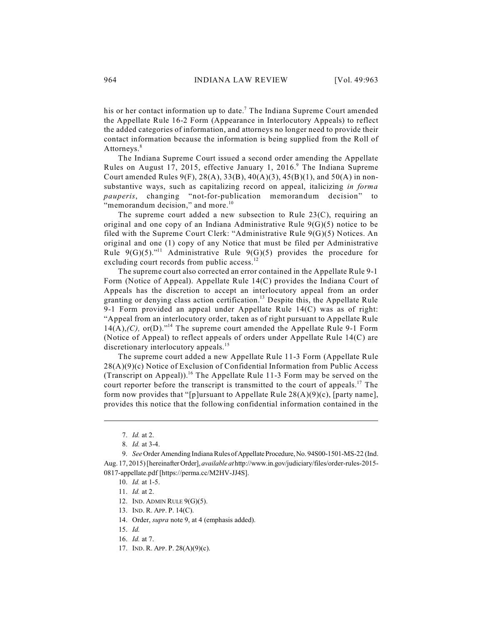his or her contact information up to date.<sup>7</sup> The Indiana Supreme Court amended the Appellate Rule 16-2 Form (Appearance in Interlocutory Appeals) to reflect the added categories of information, and attorneys no longer need to provide their contact information because the information is being supplied from the Roll of Attorneys.<sup>8</sup>

The Indiana Supreme Court issued a second order amending the Appellate Rules on August 17, 2015, effective January 1, 2016.<sup>9</sup> The Indiana Supreme Court amended Rules 9(F), 28(A), 33(B), 40(A)(3), 45(B)(1), and 50(A) in nonsubstantive ways, such as capitalizing record on appeal, italicizing *in forma pauperis*, changing "not-for-publication memorandum decision" to "memorandum decision," and more.<sup>10</sup>

The supreme court added a new subsection to Rule 23(C), requiring an original and one copy of an Indiana Administrative Rule  $9(G)(5)$  notice to be filed with the Supreme Court Clerk: "Administrative Rule 9(G)(5) Notices. An original and one (1) copy of any Notice that must be filed per Administrative Rule  $9(G)(5)$ ."<sup>11</sup> Administrative Rule  $9(G)(5)$  provides the procedure for excluding court records from public access.<sup>12</sup>

The supreme court also corrected an error contained in the Appellate Rule 9-1 Form (Notice of Appeal). Appellate Rule 14(C) provides the Indiana Court of Appeals has the discretion to accept an interlocutory appeal from an order granting or denying class action certification.<sup>13</sup> Despite this, the Appellate Rule 9-1 Form provided an appeal under Appellate Rule 14(C) was as of right: "Appeal from an interlocutory order, taken as of right pursuant to Appellate Rule  $14(A)$ ,  $(C)$ , or $(D)$ .<sup>"14</sup> The supreme court amended the Appellate Rule 9-1 Form (Notice of Appeal) to reflect appeals of orders under Appellate Rule 14(C) are discretionary interlocutory appeals.<sup>15</sup>

The supreme court added a new Appellate Rule 11-3 Form (Appellate Rule 28(A)(9)(c) Notice of Exclusion of Confidential Information from Public Access (Transcript on Appeal)).<sup>16</sup> The Appellate Rule 11-3 Form may be served on the court reporter before the transcript is transmitted to the court of appeals.<sup>17</sup> The form now provides that "[p]ursuant to Appellate Rule  $28(A)(9)(c)$ , [party name], provides this notice that the following confidential information contained in the

<sup>7.</sup> *Id.* at 2.

<sup>8.</sup> *Id.* at 3-4.

<sup>9.</sup> *See* Order Amending Indiana Rules of Appellate Procedure, No. 94S00-1501-MS-22 (Ind. Aug. 17, 2015) [hereinafterOrder], *available at* http://www.in.gov/judiciary/files/order-rules-2015- 0817-appellate.pdf [https://perma.cc/M2HV-JJ4S].

<sup>10.</sup> *Id.* at 1-5.

<sup>11.</sup> *Id.* at 2.

<sup>12.</sup> IND. ADMIN RULE 9(G)(5).

<sup>13.</sup> IND. R. APP. P. 14(C).

<sup>14.</sup> Order, *supra* note 9, at 4 (emphasis added).

<sup>15.</sup> *Id.*

<sup>16.</sup> *Id.* at 7.

<sup>17.</sup> IND. R. APP. P. 28(A)(9)(c).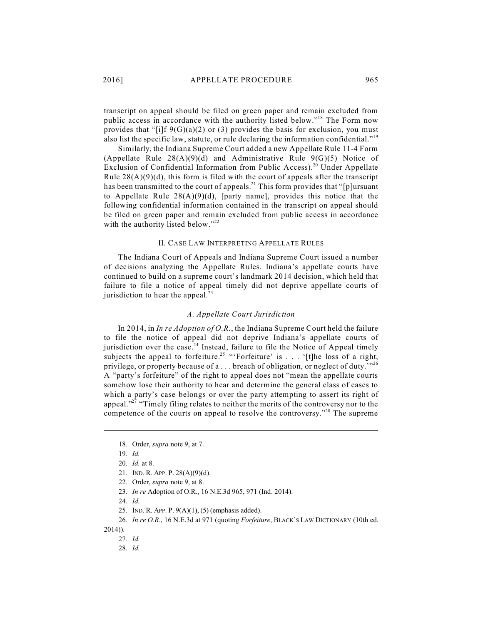transcript on appeal should be filed on green paper and remain excluded from public access in accordance with the authority listed below."<sup>18</sup> The Form now provides that "[i]f 9(G)(a)(2) or (3) provides the basis for exclusion, you must also list the specific law, statute, or rule declaring the information confidential."<sup>19</sup>

Similarly, the Indiana Supreme Court added a new Appellate Rule 11-4 Form (Appellate Rule  $28(A)(9)(d)$  and Administrative Rule  $9(G)(5)$  Notice of Exclusion of Confidential Information from Public Access).<sup>20</sup> Under Appellate Rule  $28(A)(9)(d)$ , this form is filed with the court of appeals after the transcript has been transmitted to the court of appeals.<sup>21</sup> This form provides that "[p]ursuant to Appellate Rule  $28(A)(9)(d)$ , [party name], provides this notice that the following confidential information contained in the transcript on appeal should be filed on green paper and remain excluded from public access in accordance with the authority listed below."<sup>22</sup>

### II. CASE LAW INTERPRETING APPELLATE RULES

The Indiana Court of Appeals and Indiana Supreme Court issued a number of decisions analyzing the Appellate Rules. Indiana's appellate courts have continued to build on a supreme court's landmark 2014 decision, which held that failure to file a notice of appeal timely did not deprive appellate courts of jurisdiction to hear the appeal.<sup>23</sup>

### *A. Appellate Court Jurisdiction*

In 2014, in *In re Adoption of O.R.*, the Indiana Supreme Court held the failure to file the notice of appeal did not deprive Indiana's appellate courts of jurisdiction over the case.<sup>24</sup> Instead, failure to file the Notice of Appeal timely subjects the appeal to forfeiture.<sup>25</sup> "'Forfeiture' is . . . '[t]he loss of a right, privilege, or property because of a . . . breach of obligation, or neglect of duty.<sup>'',26</sup> A "party's forfeiture" of the right to appeal does not "mean the appellate courts somehow lose their authority to hear and determine the general class of cases to which a party's case belongs or over the party attempting to assert its right of appeal."<sup>27</sup> "Timely filing relates to neither the merits of the controversy nor to the competence of the courts on appeal to resolve the controversy."<sup>28</sup> The supreme

<sup>18.</sup> Order, *supra* note 9, at 7.

<sup>19.</sup> *Id.*

<sup>20.</sup> *Id.* at 8.

<sup>21.</sup> IND. R. APP. P. 28(A)(9)(d).

<sup>22.</sup> Order, *supra* note 9, at 8.

<sup>23.</sup> *In re* Adoption of O.R., 16 N.E.3d 965, 971 (Ind. 2014).

<sup>24.</sup> *Id.*

<sup>25.</sup> IND. R. APP. P. 9(A)(1), (5) (emphasis added).

<sup>26.</sup> *In re O.R.*, 16 N.E.3d at 971 (quoting *Forfeiture*, BLACK'S LAW DICTIONARY (10th ed.

<sup>2014)).</sup> 

<sup>27.</sup> *Id.*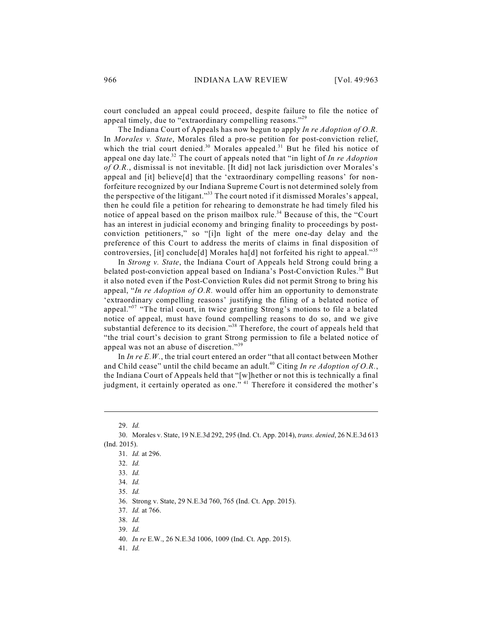court concluded an appeal could proceed, despite failure to file the notice of appeal timely, due to "extraordinary compelling reasons."<sup>29</sup>

The Indiana Court of Appeals has now begun to apply *In re Adoption of O.R.* In *Morales v. State*, Morales filed a pro-se petition for post-conviction relief, which the trial court denied.<sup>30</sup> Morales appealed.<sup>31</sup> But he filed his notice of appeal one day late.<sup>32</sup> The court of appeals noted that "in light of *In re Adoption of O.R.*, dismissal is not inevitable. [It did] not lack jurisdiction over Morales's appeal and [it] believe[d] that the 'extraordinary compelling reasons' for nonforfeiture recognized by our Indiana Supreme Court is not determined solely from the perspective of the litigant."<sup>33</sup> The court noted if it dismissed Morales's appeal, then he could file a petition for rehearing to demonstrate he had timely filed his notice of appeal based on the prison mailbox rule.<sup>34</sup> Because of this, the "Court has an interest in judicial economy and bringing finality to proceedings by postconviction petitioners," so "[i]n light of the mere one-day delay and the preference of this Court to address the merits of claims in final disposition of controversies, [it] conclude[d] Morales ha[d] not forfeited his right to appeal."<sup>35</sup>

In *Strong v. State*, the Indiana Court of Appeals held Strong could bring a belated post-conviction appeal based on Indiana's Post-Conviction Rules.<sup>36</sup> But it also noted even if the Post-Conviction Rules did not permit Strong to bring his appeal, "*In re Adoption of O.R.* would offer him an opportunity to demonstrate 'extraordinary compelling reasons' justifying the filing of a belated notice of appeal."<sup>37</sup> "The trial court, in twice granting Strong's motions to file a belated notice of appeal, must have found compelling reasons to do so, and we give substantial deference to its decision."<sup>38</sup> Therefore, the court of appeals held that "the trial court's decision to grant Strong permission to file a belated notice of appeal was not an abuse of discretion."<sup>39</sup>

In *In re E.W.*, the trial court entered an order "that all contact between Mother and Child cease" until the child became an adult.<sup>40</sup> Citing *In re Adoption of O.R.*, the Indiana Court of Appeals held that "[w]hether or not this is technically a final judgment, it certainly operated as one." <sup>41</sup> Therefore it considered the mother's

<sup>29.</sup> *Id.*

<sup>30.</sup> Morales v. State, 19 N.E.3d 292, 295 (Ind. Ct. App. 2014), *trans. denied*, 26 N.E.3d 613 (Ind. 2015).

<sup>31.</sup> *Id.* at 296.

<sup>32.</sup> *Id.*

<sup>33.</sup> *Id.*

<sup>34.</sup> *Id.*

<sup>35.</sup> *Id.*

<sup>36.</sup> Strong v. State, 29 N.E.3d 760, 765 (Ind. Ct. App. 2015).

<sup>37.</sup> *Id.* at 766.

<sup>38.</sup> *Id.*

<sup>39.</sup> *Id.*

<sup>40.</sup> *In re* E.W., 26 N.E.3d 1006, 1009 (Ind. Ct. App. 2015).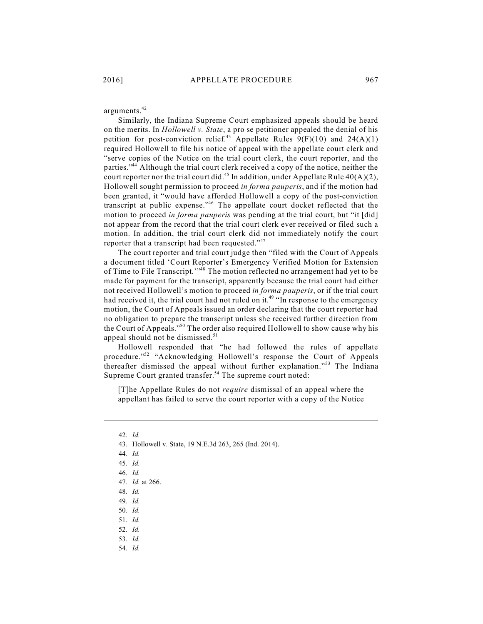arguments. 42

Similarly, the Indiana Supreme Court emphasized appeals should be heard on the merits. In *Hollowell v. State*, a pro se petitioner appealed the denial of his petition for post-conviction relief.<sup>43</sup> Appellate Rules  $9(F)(10)$  and  $24(A)(1)$ required Hollowell to file his notice of appeal with the appellate court clerk and "serve copies of the Notice on the trial court clerk, the court reporter, and the parties."<sup>44</sup> Although the trial court clerk received a copy of the notice, neither the court reporter nor the trial court did.<sup>45</sup> In addition, under Appellate Rule  $40(A)(2)$ , Hollowell sought permission to proceed *in forma pauperis*, and if the motion had been granted, it "would have afforded Hollowell a copy of the post-conviction transcript at public expense."<sup>46</sup> The appellate court docket reflected that the motion to proceed *in forma pauperis* was pending at the trial court, but "it [did] not appear from the record that the trial court clerk ever received or filed such a motion. In addition, the trial court clerk did not immediately notify the court reporter that a transcript had been requested." $47$ 

The court reporter and trial court judge then "filed with the Court of Appeals a document titled 'Court Reporter's Emergency Verified Motion for Extension of Time to File Transcript.'"<sup>48</sup> The motion reflected no arrangement had yet to be made for payment for the transcript, apparently because the trial court had either not received Hollowell's motion to proceed *in forma pauperis*, or if the trial court had received it, the trial court had not ruled on it.<sup>49</sup> "In response to the emergency motion, the Court of Appeals issued an order declaring that the court reporter had no obligation to prepare the transcript unless she received further direction from the Court of Appeals."<sup>50</sup> The order also required Hollowell to show cause why his appeal should not be dismissed.<sup>51</sup>

Hollowell responded that "he had followed the rules of appellate procedure."<sup>52</sup> "Acknowledging Hollowell's response the Court of Appeals thereafter dismissed the appeal without further explanation."<sup>53</sup> The Indiana Supreme Court granted transfer.<sup>54</sup> The supreme court noted:

[T]he Appellate Rules do not *require* dismissal of an appeal where the appellant has failed to serve the court reporter with a copy of the Notice

- 43. Hollowell v. State, 19 N.E.3d 263, 265 (Ind. 2014).
- 44. *Id.*

48. *Id.*

- 50. *Id.*
- 51. *Id.*
- 52. *Id.*
- 53. *Id.*
- 54. *Id.*

<sup>42.</sup> *Id.*

<sup>45.</sup> *Id.*

<sup>46.</sup> *Id.*

<sup>47.</sup> *Id.* at 266.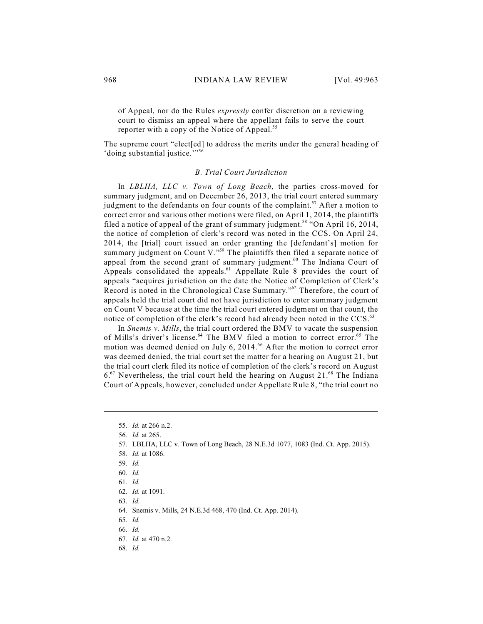of Appeal, nor do the Rules *expressly* confer discretion on a reviewing court to dismiss an appeal where the appellant fails to serve the court reporter with a copy of the Notice of Appeal.<sup>55</sup>

The supreme court "elect[ed] to address the merits under the general heading of 'doing substantial justice.'"<sup>56</sup>

#### *B. Trial Court Jurisdiction*

In *LBLHA, LLC v. Town of Long Beach*, the parties cross-moved for summary judgment, and on December 26, 2013, the trial court entered summary judgment to the defendants on four counts of the complaint.<sup>57</sup> After a motion to correct error and various other motions were filed, on April 1, 2014, the plaintiffs filed a notice of appeal of the grant of summary judgment.<sup>58</sup> "On April 16, 2014, the notice of completion of clerk's record was noted in the CCS. On April 24, 2014, the [trial] court issued an order granting the [defendant's] motion for summary judgment on Count V."<sup>59</sup> The plaintiffs then filed a separate notice of appeal from the second grant of summary judgment.<sup>60</sup> The Indiana Court of Appeals consolidated the appeals.<sup>61</sup> Appellate Rule 8 provides the court of appeals "acquires jurisdiction on the date the Notice of Completion of Clerk's Record is noted in the Chronological Case Summary."<sup>62</sup> Therefore, the court of appeals held the trial court did not have jurisdiction to enter summary judgment on Count V because at the time the trial court entered judgment on that count, the notice of completion of the clerk's record had already been noted in the CCS.<sup>63</sup>

In *Snemis v. Mills*, the trial court ordered the BMV to vacate the suspension of Mills's driver's license.<sup>64</sup> The BMV filed a motion to correct error.<sup>65</sup> The motion was deemed denied on July 6, 2014.<sup>66</sup> After the motion to correct error was deemed denied, the trial court set the matter for a hearing on August 21, but the trial court clerk filed its notice of completion of the clerk's record on August  $6.67$  Nevertheless, the trial court held the hearing on August 21. $68$  The Indiana Court of Appeals, however, concluded under Appellate Rule 8, "the trial court no

63. *Id.*

<sup>55.</sup> *Id.* at 266 n.2.

<sup>56.</sup> *Id.* at 265.

<sup>57.</sup> LBLHA, LLC v. Town of Long Beach, 28 N.E.3d 1077, 1083 (Ind. Ct. App. 2015).

<sup>58.</sup> *Id.* at 1086.

<sup>59.</sup> *Id.*

<sup>60.</sup> *Id.*

<sup>61.</sup> *Id.*

<sup>62.</sup> *Id.* at 1091.

<sup>64.</sup> Snemis v. Mills, 24 N.E.3d 468, 470 (Ind. Ct. App. 2014).

<sup>65.</sup> *Id.*

<sup>67.</sup> *Id.* at 470 n.2.

<sup>68.</sup> *Id.*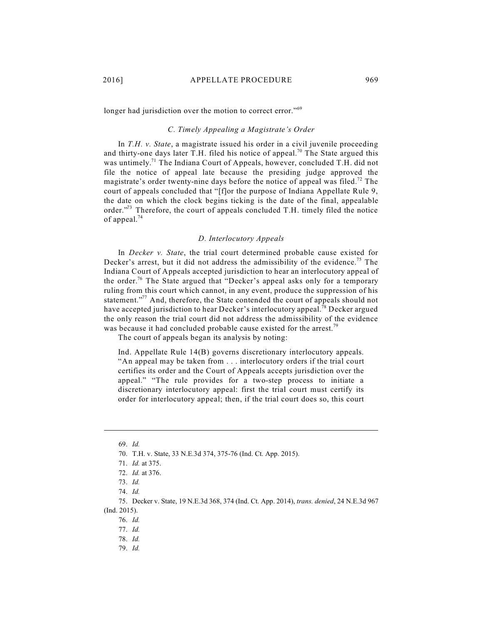longer had jurisdiction over the motion to correct error."<sup>69</sup>

# *C. Timely Appealing a Magistrate's Order*

In *T.H. v. State*, a magistrate issued his order in a civil juvenile proceeding and thirty-one days later T.H. filed his notice of appeal.<sup>70</sup> The State argued this was untimely.<sup>71</sup> The Indiana Court of Appeals, however, concluded T.H. did not file the notice of appeal late because the presiding judge approved the magistrate's order twenty-nine days before the notice of appeal was filed.<sup>72</sup> The court of appeals concluded that "[f]or the purpose of Indiana Appellate Rule 9, the date on which the clock begins ticking is the date of the final, appealable order."<sup>3</sup> Therefore, the court of appeals concluded T.H. timely filed the notice of appeal.<sup>74</sup>

# *D. Interlocutory Appeals*

In *Decker v. State*, the trial court determined probable cause existed for Decker's arrest, but it did not address the admissibility of the evidence.<sup>75</sup> The Indiana Court of Appeals accepted jurisdiction to hear an interlocutory appeal of the order.<sup>76</sup> The State argued that "Decker's appeal asks only for a temporary ruling from this court which cannot, in any event, produce the suppression of his statement."<sup>77</sup> And, therefore, the State contended the court of appeals should not have accepted jurisdiction to hear Decker's interlocutory appeal.<sup>78</sup> Decker argued the only reason the trial court did not address the admissibility of the evidence was because it had concluded probable cause existed for the arrest.<sup>79</sup>

The court of appeals began its analysis by noting:

Ind. Appellate Rule 14(B) governs discretionary interlocutory appeals. "An appeal may be taken from . . . interlocutory orders if the trial court certifies its order and the Court of Appeals accepts jurisdiction over the appeal." "The rule provides for a two-step process to initiate a discretionary interlocutory appeal: first the trial court must certify its order for interlocutory appeal; then, if the trial court does so, this court

71. *Id.* at 375.

<sup>69.</sup> *Id.*

<sup>70.</sup> T.H. v. State, 33 N.E.3d 374, 375-76 (Ind. Ct. App. 2015).

<sup>72.</sup> *Id.* at 376.

<sup>73.</sup> *Id.*

<sup>74.</sup> *Id.* 

<sup>75.</sup> Decker v. State, 19 N.E.3d 368, 374 (Ind. Ct. App. 2014), *trans. denied*, 24 N.E.3d 967 (Ind. 2015).

<sup>77.</sup> *Id.*

<sup>78.</sup> *Id.*

<sup>79.</sup> *Id.*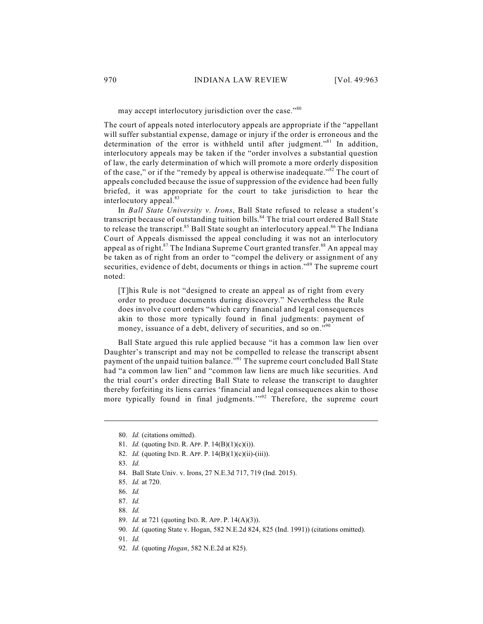# may accept interlocutory jurisdiction over the case."<sup>80</sup>

The court of appeals noted interlocutory appeals are appropriate if the "appellant will suffer substantial expense, damage or injury if the order is erroneous and the determination of the error is withheld until after judgment."<sup>81</sup> In addition, interlocutory appeals may be taken if the "order involves a substantial question of law, the early determination of which will promote a more orderly disposition of the case," or if the "remedy by appeal is otherwise inadequate." $82$  The court of appeals concluded because the issue of suppression of the evidence had been fully briefed, it was appropriate for the court to take jurisdiction to hear the interlocutory appeal.<sup>83</sup>

In *Ball State University v. Irons*, Ball State refused to release a student's transcript because of outstanding tuition bills.<sup>84</sup> The trial court ordered Ball State to release the transcript.<sup>85</sup> Ball State sought an interlocutory appeal.<sup>86</sup> The Indiana Court of Appeals dismissed the appeal concluding it was not an interlocutory appeal as of right.<sup>87</sup> The Indiana Supreme Court granted transfer.<sup>88</sup> An appeal may be taken as of right from an order to "compel the delivery or assignment of any securities, evidence of debt, documents or things in action."<sup>89</sup> The supreme court noted:

[T]his Rule is not "designed to create an appeal as of right from every order to produce documents during discovery." Nevertheless the Rule does involve court orders "which carry financial and legal consequences akin to those more typically found in final judgments: payment of money, issuance of a debt, delivery of securities, and so on."<sup>90</sup>

Ball State argued this rule applied because "it has a common law lien over Daughter's transcript and may not be compelled to release the transcript absent payment of the unpaid tuition balance."<sup>91</sup> The supreme court concluded Ball State had "a common law lien" and "common law liens are much like securities. And the trial court's order directing Ball State to release the transcript to daughter thereby forfeiting its liens carries 'financial and legal consequences akin to those more typically found in final judgments." $2^{92}$  Therefore, the supreme court

82. *Id.* (quoting IND. R. APP. P. 14(B)(1)(c)(ii)-(iii)).

84. Ball State Univ. v. Irons, 27 N.E.3d 717, 719 (Ind. 2015).

92. *Id.* (quoting *Hogan*, 582 N.E.2d at 825).

<sup>80.</sup> *Id.* (citations omitted).

<sup>81.</sup> *Id.* (quoting IND. R. APP. P. 14(B)(1)(c)(i)).

<sup>83.</sup> *Id.*

<sup>85.</sup> *Id.* at 720.

<sup>86.</sup> *Id.*

<sup>87.</sup> *Id.*

<sup>88.</sup> *Id.*

<sup>89.</sup> *Id.* at 721 (quoting IND. R. APP. P. 14(A)(3)).

<sup>90.</sup> *Id.* (quoting State v. Hogan, 582 N.E.2d 824, 825 (Ind. 1991)) (citations omitted).

<sup>91.</sup> *Id.*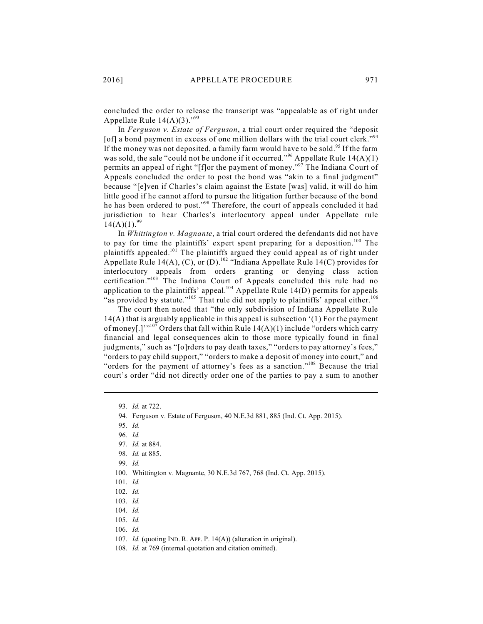concluded the order to release the transcript was "appealable as of right under Appellate Rule  $14(A)(3)$ ."<sup>93</sup>

In *Ferguson v. Estate of Ferguson*, a trial court order required the "deposit [of] a bond payment in excess of one million dollars with the trial court clerk."<sup>94</sup> If the money was not deposited, a family farm would have to be sold.<sup>95</sup> If the farm was sold, the sale "could not be undone if it occurred." Appellate Rule  $14(A)(1)$ permits an appeal of right "[f]or the payment of money."<sup>97</sup> The Indiana Court of Appeals concluded the order to post the bond was "akin to a final judgment" because "[e]ven if Charles's claim against the Estate [was] valid, it will do him little good if he cannot afford to pursue the litigation further because of the bond he has been ordered to post."<sup>98</sup> Therefore, the court of appeals concluded it had jurisdiction to hear Charles's interlocutory appeal under Appellate rule  $14(A)(1).^{99}$ 

In *Whittington v. Magnante*, a trial court ordered the defendants did not have to pay for time the plaintiffs' expert spent preparing for a deposition.<sup>100</sup> The plaintiffs appealed.<sup>101</sup> The plaintiffs argued they could appeal as of right under Appellate Rule 14(A), (C), or (D).<sup>102</sup> "Indiana Appellate Rule 14(C) provides for interlocutory appeals from orders granting or denying class action certification."<sup>103</sup> The Indiana Court of Appeals concluded this rule had no application to the plaintiffs' appeal.<sup>104</sup> Appellate Rule 14(D) permits for appeals "as provided by statute."<sup>105</sup> That rule did not apply to plaintiffs' appeal either.<sup>106</sup>

The court then noted that "the only subdivision of Indiana Appellate Rule 14(A) that is arguably applicable in this appeal is subsection '(1) For the payment of money[.]"<sup>,107</sup> Orders that fall within Rule  $14(A)(1)$  include "orders which carry financial and legal consequences akin to those more typically found in final judgments," such as "[o]rders to pay death taxes," "orders to pay attorney's fees," "orders to pay child support," "orders to make a deposit of money into court," and "orders for the payment of attorney's fees as a sanction."<sup>108</sup> Because the trial court's order "did not directly order one of the parties to pay a sum to another

104. *Id.*

107. *Id.* (quoting IND. R. APP. P. 14(A)) (alteration in original).

<sup>93.</sup> *Id.* at 722.

<sup>94.</sup> Ferguson v. Estate of Ferguson, 40 N.E.3d 881, 885 (Ind. Ct. App. 2015).

<sup>95.</sup> *Id.*

<sup>96.</sup> *Id.*

<sup>97.</sup> *Id.* at 884.

<sup>98.</sup> *Id.* at 885.

<sup>99.</sup> *Id.*

<sup>100.</sup> Whittington v. Magnante, 30 N.E.3d 767, 768 (Ind. Ct. App. 2015).

<sup>101.</sup> *Id.*

<sup>102.</sup> *Id.*

<sup>103.</sup> *Id.*

<sup>105.</sup> *Id.*

<sup>106.</sup> *Id.*

<sup>108.</sup> *Id.* at 769 (internal quotation and citation omitted).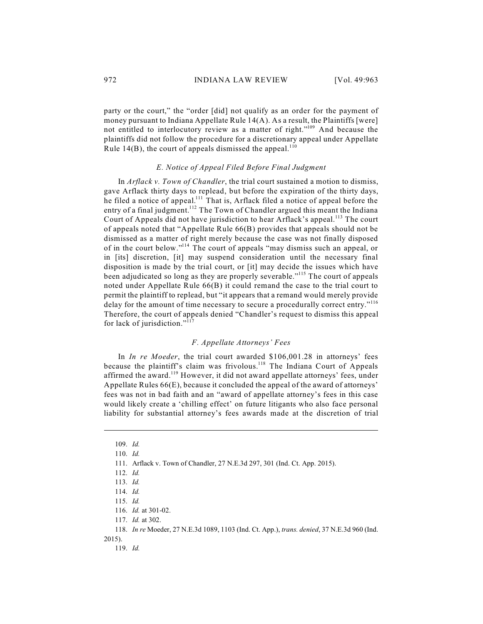party or the court," the "order [did] not qualify as an order for the payment of money pursuant to Indiana Appellate Rule  $14(A)$ . As a result, the Plaintiffs [were] not entitled to interlocutory review as a matter of right."<sup>109</sup> And because the plaintiffs did not follow the procedure for a discretionary appeal under Appellate Rule 14(B), the court of appeals dismissed the appeal.<sup>110</sup>

### *E. Notice of Appeal Filed Before Final Judgment*

In *Arflack v. Town of Chandler*, the trial court sustained a motion to dismiss, gave Arflack thirty days to replead, but before the expiration of the thirty days, he filed a notice of appeal.<sup>111</sup> That is, Arflack filed a notice of appeal before the entry of a final judgment.<sup>112</sup> The Town of Chandler argued this meant the Indiana Court of Appeals did not have jurisdiction to hear Arflack's appeal.<sup>113</sup> The court of appeals noted that "Appellate Rule 66(B) provides that appeals should not be dismissed as a matter of right merely because the case was not finally disposed of in the court below."<sup>114</sup> The court of appeals "may dismiss such an appeal, or in [its] discretion, [it] may suspend consideration until the necessary final disposition is made by the trial court, or [it] may decide the issues which have been adjudicated so long as they are properly severable."<sup>115</sup> The court of appeals noted under Appellate Rule 66(B) it could remand the case to the trial court to permit the plaintiff to replead, but "it appears that a remand would merely provide delay for the amount of time necessary to secure a procedurally correct entry."<sup>116</sup> Therefore, the court of appeals denied "Chandler's request to dismiss this appeal for lack of jurisdiction."<sup>117</sup>

## *F. Appellate Attorneys' Fees*

In *In re Moeder*, the trial court awarded \$106,001.28 in attorneys' fees because the plaintiff's claim was frivolous.<sup>118</sup> The Indiana Court of Appeals affirmed the award.<sup>119</sup> However, it did not award appellate attorneys' fees, under Appellate Rules 66(E), because it concluded the appeal of the award of attorneys' fees was not in bad faith and an "award of appellate attorney's fees in this case would likely create a 'chilling effect' on future litigants who also face personal liability for substantial attorney's fees awards made at the discretion of trial

<sup>109.</sup> *Id.*

<sup>110.</sup> *Id.*

<sup>111.</sup> Arflack v. Town of Chandler, 27 N.E.3d 297, 301 (Ind. Ct. App. 2015).

<sup>112.</sup> *Id.*

<sup>113.</sup> *Id.*

<sup>114.</sup> *Id.*

<sup>115.</sup> *Id.*

<sup>116.</sup> *Id.* at 301-02.

<sup>117.</sup> *Id.* at 302.

<sup>118.</sup> *In re* Moeder, 27 N.E.3d 1089, 1103 (Ind. Ct. App.), *trans. denied*, 37 N.E.3d 960 (Ind.

<sup>2015).</sup>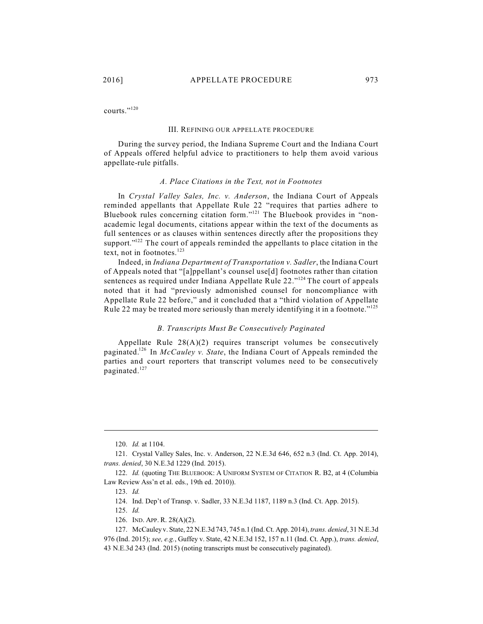courts."<sup>120</sup>

#### III. REFINING OUR APPELLATE PROCEDURE

During the survey period, the Indiana Supreme Court and the Indiana Court of Appeals offered helpful advice to practitioners to help them avoid various appellate-rule pitfalls.

### *A. Place Citations in the Text, not in Footnotes*

In *Crystal Valley Sales, Inc. v. Anderson*, the Indiana Court of Appeals reminded appellants that Appellate Rule 22 "requires that parties adhere to Bluebook rules concerning citation form."<sup>121</sup> The Bluebook provides in "nonacademic legal documents, citations appear within the text of the documents as full sentences or as clauses within sentences directly after the propositions they support." $122$  The court of appeals reminded the appellants to place citation in the text, not in footnotes. 123

Indeed, in *Indiana Department of Transportation v. Sadler*, the Indiana Court of Appeals noted that "[a]ppellant's counsel use[d] footnotes rather than citation sentences as required under Indiana Appellate Rule  $22.^{"124}$  The court of appeals noted that it had "previously admonished counsel for noncompliance with Appellate Rule 22 before," and it concluded that a "third violation of Appellate Rule 22 may be treated more seriously than merely identifying it in a footnote."<sup>125</sup>

#### *B. Transcripts Must Be Consecutively Paginated*

Appellate Rule 28(A)(2) requires transcript volumes be consecutively paginated.<sup>126</sup> In *McCauley v. State*, the Indiana Court of Appeals reminded the parties and court reporters that transcript volumes need to be consecutively paginated.<sup>127</sup>

<sup>120.</sup> *Id.* at 1104.

<sup>121.</sup> Crystal Valley Sales, Inc. v. Anderson, 22 N.E.3d 646, 652 n.3 (Ind. Ct. App. 2014), *trans. denied*, 30 N.E.3d 1229 (Ind. 2015).

<sup>122.</sup> *Id.* (quoting THE BLUEBOOK: A UNIFORM SYSTEM OF CITATION R. B2, at 4 (Columbia Law Review Ass'n et al. eds., 19th ed. 2010)).

<sup>123.</sup> *Id.*

<sup>124.</sup> Ind. Dep't of Transp. v. Sadler, 33 N.E.3d 1187, 1189 n.3 (Ind. Ct. App. 2015).

<sup>125.</sup> *Id.*

<sup>126.</sup> IND. APP. R. 28(A)(2).

<sup>127.</sup> McCauley v. State, 22 N.E.3d 743, 745 n.1 (Ind. Ct. App. 2014), *trans. denied*, 31 N.E.3d 976 (Ind. 2015); *see, e.g.*, Guffey v. State, 42 N.E.3d 152, 157 n.11 (Ind. Ct. App.), *trans. denied*, 43 N.E.3d 243 (Ind. 2015) (noting transcripts must be consecutively paginated).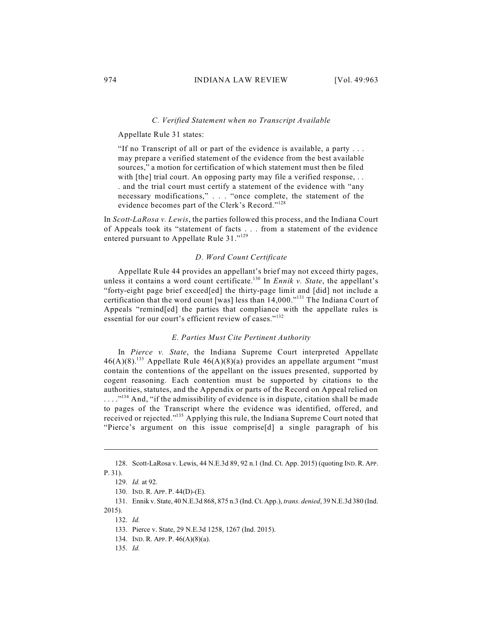#### *C. Verified Statement when no Transcript Available*

Appellate Rule 31 states:

"If no Transcript of all or part of the evidence is available, a party . . . may prepare a verified statement of the evidence from the best available sources," a motion for certification of which statement must then be filed with [the] trial court. An opposing party may file a verified response, . . . and the trial court must certify a statement of the evidence with "any necessary modifications," . . . "once complete, the statement of the evidence becomes part of the Clerk's Record."<sup>128</sup>

In *Scott-LaRosa v. Lewis*, the parties followed this process, and the Indiana Court of Appeals took its "statement of facts . . . from a statement of the evidence entered pursuant to Appellate Rule 31."<sup>129</sup>

#### *D. Word Count Certificate*

Appellate Rule 44 provides an appellant's brief may not exceed thirty pages, unless it contains a word count certificate.<sup>130</sup> In *Ennik v. State*, the appellant's "forty-eight page brief exceed[ed] the thirty-page limit and [did] not include a certification that the word count [was] less than  $14,000.^{n131}$  The Indiana Court of Appeals "remind[ed] the parties that compliance with the appellate rules is essential for our court's efficient review of cases."<sup>132</sup>

# *E. Parties Must Cite Pertinent Authority*

In *Pierce v. State*, the Indiana Supreme Court interpreted Appellate  $46(A)(8)$ .<sup>133</sup> Appellate Rule  $46(A)(8)(a)$  provides an appellate argument "must contain the contentions of the appellant on the issues presented, supported by cogent reasoning. Each contention must be supported by citations to the authorities, statutes, and the Appendix or parts of the Record on Appeal relied on  $\ldots$ ."<sup>134</sup> And, "if the admissibility of evidence is in dispute, citation shall be made to pages of the Transcript where the evidence was identified, offered, and received or rejected."<sup>135</sup> Applying this rule, the Indiana Supreme Court noted that "Pierce's argument on this issue comprise[d] a single paragraph of his

<sup>128.</sup> Scott-LaRosa v. Lewis, 44 N.E.3d 89, 92 n.1 (Ind. Ct. App. 2015) (quoting IND.R. APP. P. 31).

<sup>129.</sup> *Id.* at 92.

<sup>130.</sup> IND. R. APP. P. 44(D)-(E).

<sup>131.</sup> Ennik v. State, 40 N.E.3d 868, 875 n.3 (Ind. Ct. App.), *trans. denied*, 39 N.E.3d 380 (Ind. 2015).

<sup>132.</sup> *Id.*

<sup>133.</sup> Pierce v. State, 29 N.E.3d 1258, 1267 (Ind. 2015).

<sup>134.</sup> IND. R. APP. P. 46(A)(8)(a).

<sup>135.</sup> *Id.*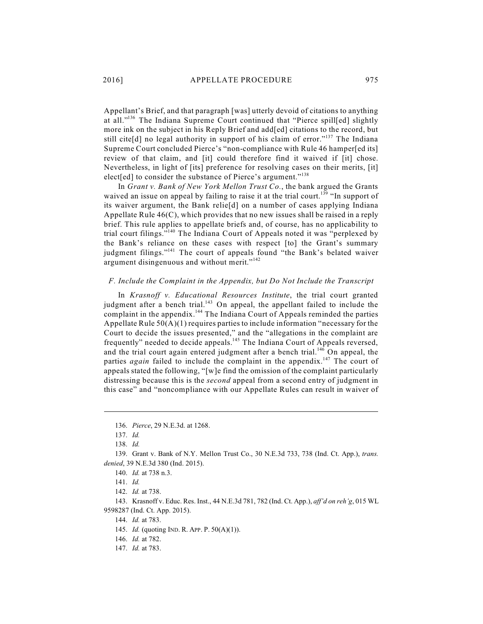Appellant's Brief, and that paragraph [was] utterly devoid of citations to anything at all."<sup>136</sup> The Indiana Supreme Court continued that "Pierce spill[ed] slightly more ink on the subject in his Reply Brief and add[ed] citations to the record, but still cite[d] no legal authority in support of his claim of error."<sup>137</sup> The Indiana Supreme Court concluded Pierce's "non-compliance with Rule 46 hamper[ed its] review of that claim, and [it] could therefore find it waived if [it] chose. Nevertheless, in light of [its] preference for resolving cases on their merits, [it] elect[ed] to consider the substance of Pierce's argument."<sup>138</sup>

In *Grant v. Bank of New York Mellon Trust Co.*, the bank argued the Grants waived an issue on appeal by failing to raise it at the trial court.<sup>139</sup> "In support of its waiver argument, the Bank relie[d] on a number of cases applying Indiana Appellate Rule 46(C), which provides that no new issues shall be raised in a reply brief. This rule applies to appellate briefs and, of course, has no applicability to trial court filings."<sup>140</sup> The Indiana Court of Appeals noted it was "perplexed by the Bank's reliance on these cases with respect [to] the Grant's summary judgment filings."<sup>141</sup> The court of appeals found "the Bank's belated waiver argument disingenuous and without merit."<sup>142</sup>

# *F. Include the Complaint in the Appendix, but Do Not Include the Transcript*

In *Krasnoff v. Educational Resources Institute*, the trial court granted judgment after a bench trial.<sup>143</sup> On appeal, the appellant failed to include the complaint in the appendix.<sup>144</sup> The Indiana Court of Appeals reminded the parties Appellate Rule 50(A)(1) requires parties to include information "necessary for the Court to decide the issues presented," and the "allegations in the complaint are frequently" needed to decide appeals.<sup>145</sup> The Indiana Court of Appeals reversed, and the trial court again entered judgment after a bench trial.<sup>146</sup> On appeal, the parties *again* failed to include the complaint in the appendix.<sup>147</sup> The court of appeals stated the following, "[w]e find the omission of the complaint particularly distressing because this is the *second* appeal from a second entry of judgment in this case" and "noncompliance with our Appellate Rules can result in waiver of

<sup>136.</sup> *Pierce*, 29 N.E.3d. at 1268.

<sup>137.</sup> *Id.*

<sup>138.</sup> *Id.*

<sup>139.</sup> Grant v. Bank of N.Y. Mellon Trust Co., 30 N.E.3d 733, 738 (Ind. Ct. App.), *trans. denied*, 39 N.E.3d 380 (Ind. 2015).

<sup>140.</sup> *Id.* at 738 n.3.

<sup>141.</sup> *Id.*

<sup>142.</sup> *Id.* at 738.

<sup>143.</sup> Krasnoff v. Educ. Res. Inst., 44 N.E.3d 781, 782 (Ind. Ct. App.), *aff'd on reh'g*, 015 WL 9598287 (Ind. Ct. App. 2015).

<sup>144.</sup> *Id.* at 783.

<sup>145.</sup> *Id.* (quoting IND. R. APP. P. 50(A)(1)).

<sup>146.</sup> *Id.* at 782.

<sup>147.</sup> *Id.* at 783.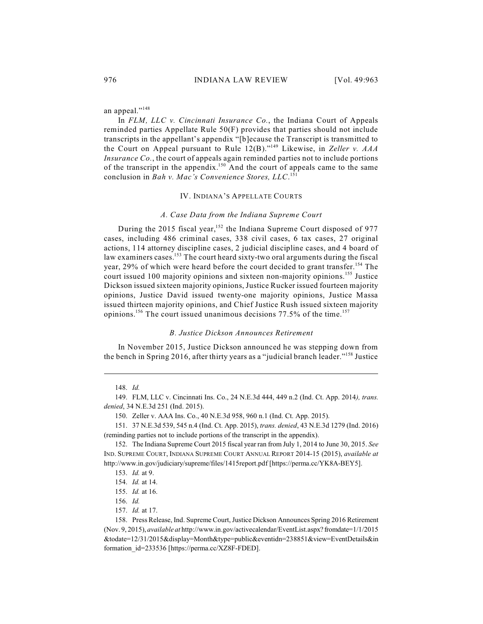# an appeal."<sup>148</sup>

In *FLM, LLC v. Cincinnati Insurance Co.*, the Indiana Court of Appeals reminded parties Appellate Rule 50(F) provides that parties should not include transcripts in the appellant's appendix "[b]ecause the Transcript is transmitted to the Court on Appeal pursuant to Rule 12(B)."<sup>149</sup> Likewise, in *Zeller v. AAA Insurance Co.*, the court of appeals again reminded parties not to include portions of the transcript in the appendix.<sup>150</sup> And the court of appeals came to the same conclusion in *Bah v. Mac's Convenience Stores, LLC*. 151

### IV. INDIANA'S APPELLATE COURTS

### *A. Case Data from the Indiana Supreme Court*

During the 2015 fiscal year,  $152$  the Indiana Supreme Court disposed of 977 cases, including 486 criminal cases, 338 civil cases, 6 tax cases, 27 original actions, 114 attorney discipline cases, 2 judicial discipline cases, and 4 board of law examiners cases.<sup>153</sup> The court heard sixty-two oral arguments during the fiscal year, 29% of which were heard before the court decided to grant transfer.<sup>154</sup> The court issued 100 majority opinions and sixteen non-majority opinions.<sup>155</sup> Justice Dickson issued sixteen majority opinions, Justice Rucker issued fourteen majority opinions, Justice David issued twenty-one majority opinions, Justice Massa issued thirteen majority opinions, and Chief Justice Rush issued sixteen majority opinions.<sup>156</sup> The court issued unanimous decisions 77.5% of the time.<sup>157</sup>

### *B. Justice Dickson Announces Retirement*

In November 2015, Justice Dickson announced he was stepping down from the bench in Spring 2016, after thirty years as a "judicial branch leader."<sup>158</sup> Justice

<sup>149.</sup> FLM, LLC v. Cincinnati Ins. Co., 24 N.E.3d 444, 449 n.2 (Ind. Ct. App. 2014*), trans. denied*, 34 N.E.3d 251 (Ind. 2015).

<sup>150.</sup> Zeller v. AAA Ins. Co., 40 N.E.3d 958, 960 n.1 (Ind. Ct. App. 2015).

<sup>151.</sup> 37 N.E.3d 539, 545 n.4 (Ind. Ct. App. 2015), *trans. denied*, 43 N.E.3d 1279 (Ind. 2016) (reminding parties not to include portions of the transcript in the appendix).

<sup>152.</sup> The Indiana Supreme Court 2015 fiscal year ran from July 1, 2014 to June 30, 2015. *See* IND. SUPREME COURT, INDIANA SUPREME COURT ANNUAL REPORT 2014-15 (2015), *available at* http://www.in.gov/judiciary/supreme/files/1415report.pdf [https://perma.cc/YK8A-BEY5].

<sup>153.</sup> *Id.* at 9.

<sup>154.</sup> *Id.* at 14.

<sup>155.</sup> *Id.* at 16.

<sup>156.</sup> *Id.*

<sup>157.</sup> *Id.* at 17.

<sup>158.</sup> Press Release, Ind. Supreme Court, Justice Dickson Announces Spring 2016 Retirement (Nov. 9, 2015), *available at* http://www.in.gov/activecalendar/EventList.aspx? fromdate=1/1/2015 &todate=12/31/2015&display=Month&type=public&eventidn=238851&view=EventDetails&in formation\_id=233536 [https://perma.cc/XZ8F-FDED].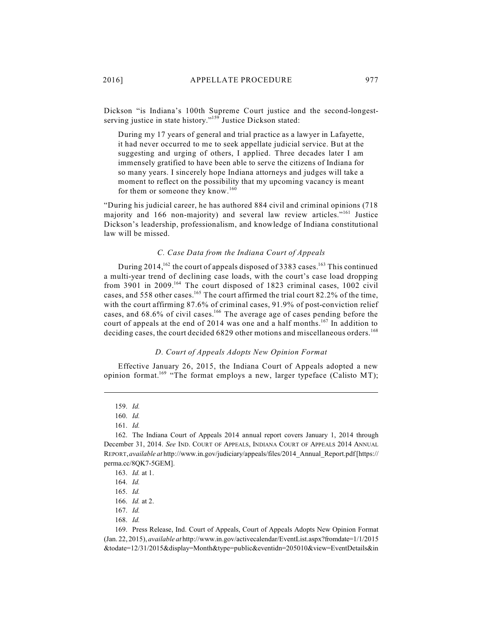Dickson "is Indiana's 100th Supreme Court justice and the second-longestserving justice in state history."<sup>159</sup> Justice Dickson stated:

During my 17 years of general and trial practice as a lawyer in Lafayette, it had never occurred to me to seek appellate judicial service. But at the suggesting and urging of others, I applied. Three decades later I am immensely gratified to have been able to serve the citizens of Indiana for so many years. I sincerely hope Indiana attorneys and judges will take a moment to reflect on the possibility that my upcoming vacancy is meant for them or someone they know.<sup>160</sup>

"During his judicial career, he has authored 884 civil and criminal opinions (718 majority and 166 non-majority) and several law review articles."<sup>161</sup> Justice Dickson's leadership, professionalism, and knowledge of Indiana constitutional law will be missed.

# *C. Case Data from the Indiana Court of Appeals*

During 2014,<sup>162</sup> the court of appeals disposed of 3383 cases.<sup>163</sup> This continued a multi-year trend of declining case loads, with the court's case load dropping from 3901 in 2009.<sup>164</sup> The court disposed of 1823 criminal cases, 1002 civil cases, and 558 other cases.<sup>165</sup> The court affirmed the trial court 82.2% of the time, with the court affirming 87.6% of criminal cases, 91.9% of post-conviction relief cases, and  $68.6\%$  of civil cases.<sup>166</sup> The average age of cases pending before the court of appeals at the end of 2014 was one and a half months.<sup>167</sup> In addition to deciding cases, the court decided 6829 other motions and miscellaneous orders.<sup>168</sup>

### *D. Court of Appeals Adopts New Opinion Format*

Effective January 26, 2015, the Indiana Court of Appeals adopted a new opinion format.<sup>169</sup> "The format employs a new, larger typeface (Calisto MT);

<sup>159.</sup> *Id.*

<sup>160.</sup> *Id.*

<sup>161.</sup> *Id.* 

<sup>162.</sup> The Indiana Court of Appeals 2014 annual report covers January 1, 2014 through December 31, 2014. *See* IND. COURT OF APPEALS, INDIANA COURT OF APPEALS 2014 ANNUAL REPORT,*available at* http://www.in.gov/judiciary/appeals/files/2014\_Annual\_Report.pdf [https:// perma.cc/8QK7-5GEM].

<sup>163.</sup> *Id.* at 1.

<sup>164.</sup> *Id.*

<sup>165.</sup> *Id.*

<sup>166.</sup> *Id.* at 2.

<sup>167.</sup> *Id.*

<sup>168.</sup> *Id.*

<sup>169.</sup> Press Release, Ind. Court of Appeals, Court of Appeals Adopts New Opinion Format (Jan. 22, 2015), *available at* http://www.in.gov/activecalendar/EventList.aspx?fromdate=1/1/2015 &todate=12/31/2015&display=Month&type=public&eventidn=205010&view=EventDetails&in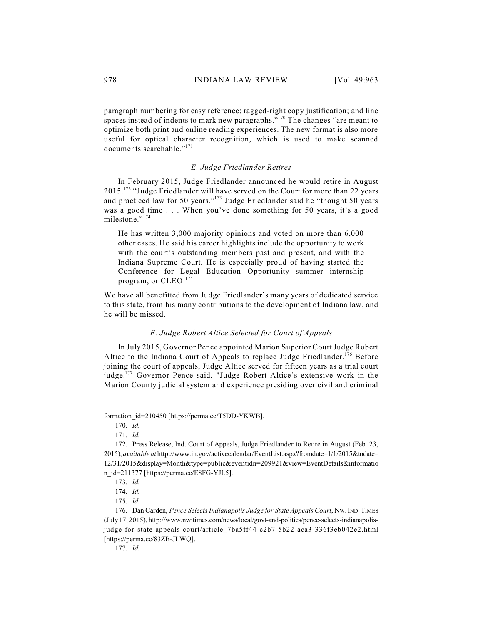paragraph numbering for easy reference; ragged-right copy justification; and line spaces instead of indents to mark new paragraphs." $170$  The changes "are meant to optimize both print and online reading experiences. The new format is also more useful for optical character recognition, which is used to make scanned documents searchable."<sup>171</sup>

### *E. Judge Friedlander Retires*

In February 2015, Judge Friedlander announced he would retire in August 2015.<sup>172</sup> "Judge Friedlander will have served on the Court for more than 22 years and practiced law for 50 years."<sup>173</sup> Judge Friedlander said he "thought 50 years was a good time . . . When you've done something for 50 years, it's a good milestone."<sup>174</sup>

He has written 3,000 majority opinions and voted on more than 6,000 other cases. He said his career highlights include the opportunity to work with the court's outstanding members past and present, and with the Indiana Supreme Court. He is especially proud of having started the Conference for Legal Education Opportunity summer internship program, or CLEO.<sup>175</sup>

We have all benefitted from Judge Friedlander's many years of dedicated service to this state, from his many contributions to the development of Indiana law, and he will be missed.

# *F. Judge Robert Altice Selected for Court of Appeals*

In July 2015, Governor Pence appointed Marion Superior Court Judge Robert Altice to the Indiana Court of Appeals to replace Judge Friedlander.<sup>176</sup> Before joining the court of appeals, Judge Altice served for fifteen years as a trial court judge.<sup>177</sup> Governor Pence said, "Judge Robert Altice's extensive work in the Marion County judicial system and experience presiding over civil and criminal

formation\_id=210450 [https://perma.cc/T5DD-YKWB].

<sup>170.</sup> *Id.*

<sup>171.</sup> *Id.* 

<sup>172.</sup> Press Release, Ind. Court of Appeals, Judge Friedlander to Retire in August (Feb. 23, 2015), *available at* http://www.in.gov/activecalendar/EventList.aspx?fromdate=1/1/2015&todate= 12/31/2015&display=Month&type=public&eventidn=209921&view=EventDetails&informatio n\_id=211377 [https://perma.cc/E8FG-YJL5].

<sup>173.</sup> *Id.*

<sup>174.</sup> *Id.*

<sup>175.</sup> *Id.*

<sup>176.</sup> Dan Carden, *Pence Selects Indianapolis Judge for State Appeals Court*, NW.IND.TIMES (July 17, 2015), http://www.nwitimes.com/news/local/govt-and-politics/pence-selects-indianapolisjudge-for-state-appeals-court/article\_7ba5ff44-c2b7-5b22-aca3-336f3eb042e2.html [https://perma.cc/83ZB-JLWQ].

<sup>177.</sup> *Id.*